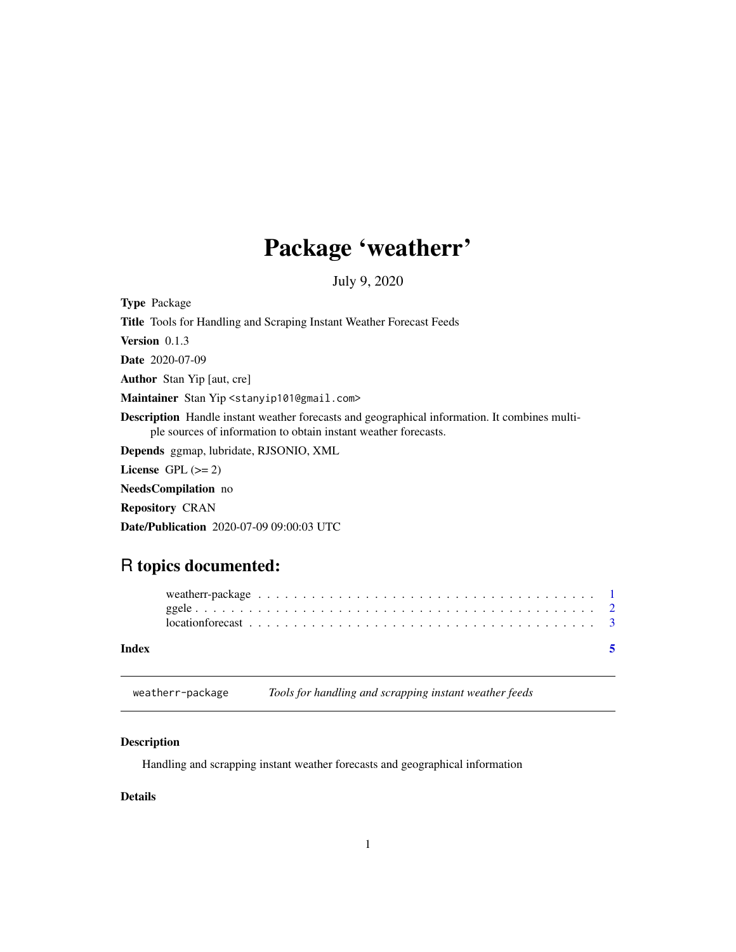## <span id="page-0-0"></span>Package 'weatherr'

July 9, 2020

| <b>Type Package</b>                                                                                                                                                     |
|-------------------------------------------------------------------------------------------------------------------------------------------------------------------------|
| <b>Title</b> Tools for Handling and Scraping Instant Weather Forecast Feeds                                                                                             |
| <b>Version</b> $0.1.3$                                                                                                                                                  |
| <b>Date</b> 2020-07-09                                                                                                                                                  |
| <b>Author</b> Stan Yip [aut, cre]                                                                                                                                       |
| Maintainer Stan Yip <stanyip101@gmail.com></stanyip101@gmail.com>                                                                                                       |
| <b>Description</b> Handle instant weather forecasts and geographical information. It combines multi-<br>ple sources of information to obtain instant weather forecasts. |
| <b>Depends</b> ggmap, lubridate, RJSONIO, XML                                                                                                                           |
| License $GPL (= 2)$                                                                                                                                                     |
| <b>NeedsCompilation</b> no                                                                                                                                              |
| <b>Repository CRAN</b>                                                                                                                                                  |
| <b>Date/Publication</b> 2020-07-09 09:00:03 UTC                                                                                                                         |

### R topics documented:

| Index |  |  |  |  |  |  |  |  |  |  |  |  |  |  |  |  |  |
|-------|--|--|--|--|--|--|--|--|--|--|--|--|--|--|--|--|--|

weatherr-package *Tools for handling and scrapping instant weather feeds*

#### Description

Handling and scrapping instant weather forecasts and geographical information

#### Details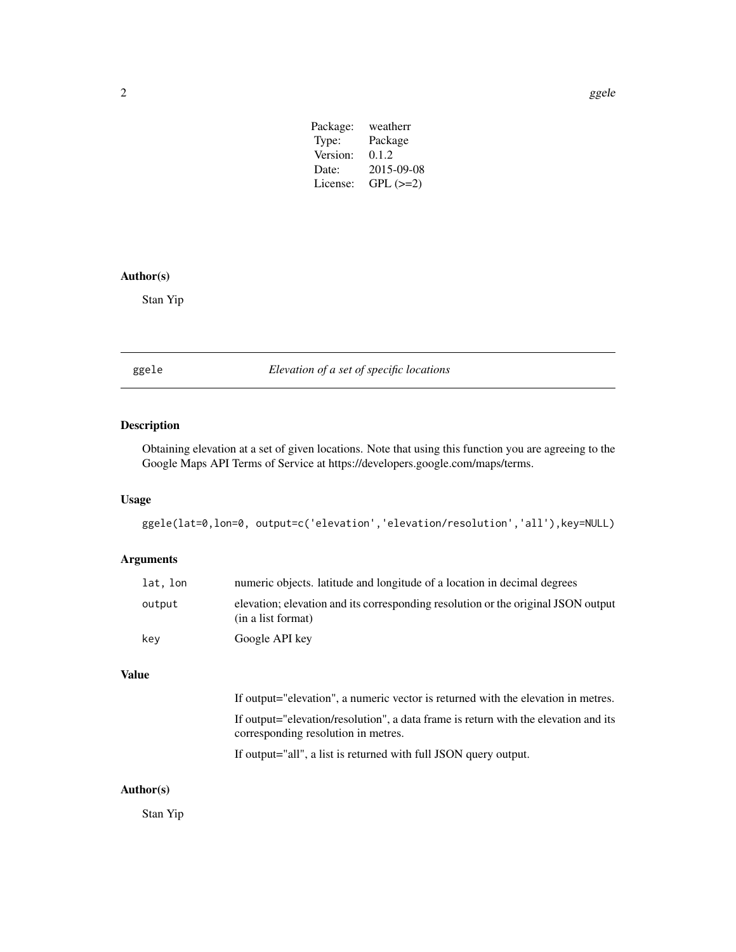| Package: | weatherr   |
|----------|------------|
| Type:    | Package    |
| Version: | 0.1.2      |
| Date:    | 2015-09-08 |
| License: | $GPL (=2)$ |
|          |            |

#### <span id="page-1-0"></span>Author(s)

Stan Yip

ggele *Elevation of a set of specific locations*

#### Description

Obtaining elevation at a set of given locations. Note that using this function you are agreeing to the Google Maps API Terms of Service at https://developers.google.com/maps/terms.

#### Usage

ggele(lat=0,lon=0, output=c('elevation','elevation/resolution','all'),key=NULL)

#### Arguments

| lat, lon | numeric objects. Latitude and longitude of a location in decimal degrees                                |
|----------|---------------------------------------------------------------------------------------------------------|
| output   | elevation; elevation and its corresponding resolution or the original JSON output<br>(in a list format) |
| kev      | Google API key                                                                                          |

#### Value

If output="elevation", a numeric vector is returned with the elevation in metres. If output="elevation/resolution", a data frame is return with the elevation and its corresponding resolution in metres.

If output="all", a list is returned with full JSON query output.

#### Author(s)

Stan Yip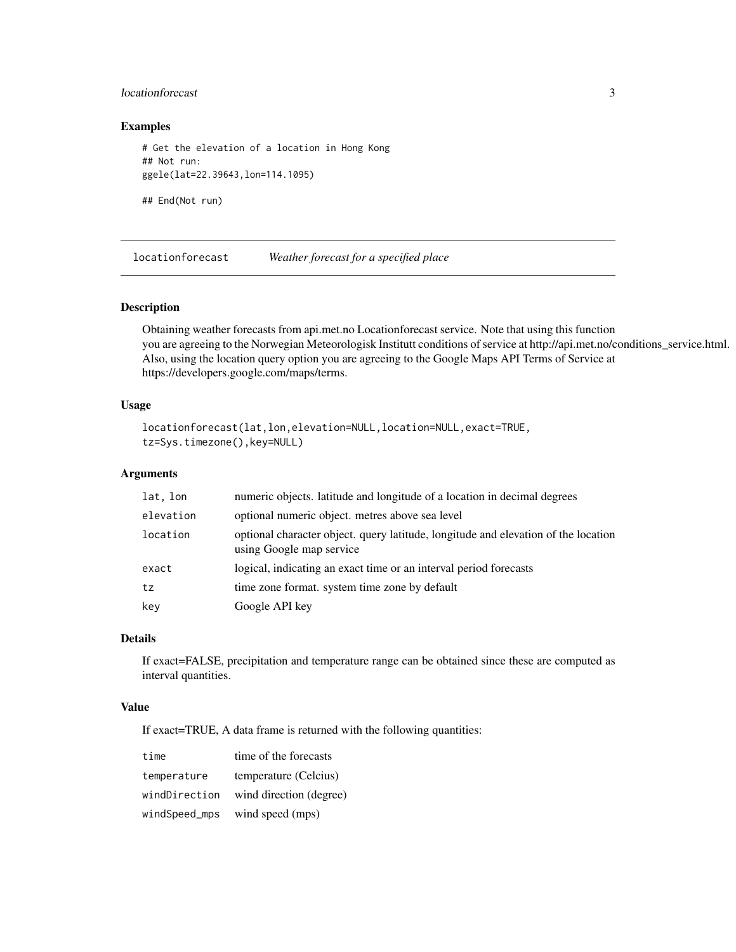#### <span id="page-2-0"></span>locationforecast 3

#### Examples

```
# Get the elevation of a location in Hong Kong
## Not run:
ggele(lat=22.39643,lon=114.1095)
```
## End(Not run)

locationforecast *Weather forecast for a specified place*

#### Description

Obtaining weather forecasts from api.met.no Locationforecast service. Note that using this function you are agreeing to the Norwegian Meteorologisk Institutt conditions of service at http://api.met.no/conditions\_service.html. Also, using the location query option you are agreeing to the Google Maps API Terms of Service at https://developers.google.com/maps/terms.

#### Usage

```
locationforecast(lat,lon,elevation=NULL,location=NULL,exact=TRUE,
tz=Sys.timezone(),key=NULL)
```
#### Arguments

| lat, lon  | numeric objects. latitude and longitude of a location in decimal degrees                                       |
|-----------|----------------------------------------------------------------------------------------------------------------|
| elevation | optional numeric object, metres above sea level                                                                |
| location  | optional character object. query latitude, longitude and elevation of the location<br>using Google map service |
| exact     | logical, indicating an exact time or an interval period forecasts                                              |
| tz        | time zone format. system time zone by default                                                                  |
| key       | Google API key                                                                                                 |

#### Details

If exact=FALSE, precipitation and temperature range can be obtained since these are computed as interval quantities.

#### Value

If exact=TRUE, A data frame is returned with the following quantities:

| time          | time of the forecasts   |
|---------------|-------------------------|
| temperature   | temperature (Celcius)   |
| windDirection | wind direction (degree) |
| windSpeed_mps | wind speed (mps)        |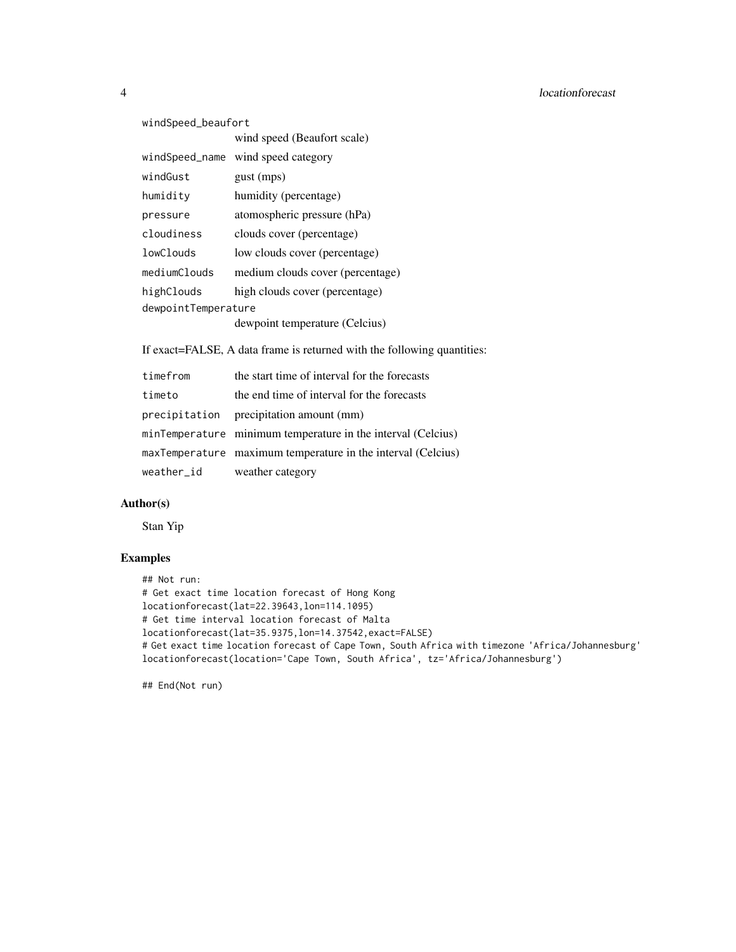```
windSpeed_beaufort
               wind speed (Beaufort scale)
windSpeed_name wind speed category
windGust gust (mps)
humidity humidity (percentage)
pressure atomospheric pressure (hPa)
cloudiness clouds cover (percentage)
lowClouds low clouds cover (percentage)
mediumClouds medium clouds cover (percentage)
highClouds high clouds cover (percentage)
dewpointTemperature
               dewpoint temperature (Celcius)
```
If exact=FALSE, A data frame is returned with the following quantities:

| timefrom   | the start time of interval for the forecasts                 |
|------------|--------------------------------------------------------------|
| timeto     | the end time of interval for the forecasts                   |
|            | precipitation precipitation amount (mm)                      |
|            | minTemperature minimum temperature in the interval (Celcius) |
|            | maxTemperature maximum temperature in the interval (Celcius) |
| weather_id | weather category                                             |

#### Author(s)

Stan Yip

#### Examples

```
## Not run:
# Get exact time location forecast of Hong Kong
locationforecast(lat=22.39643,lon=114.1095)
# Get time interval location forecast of Malta
locationforecast(lat=35.9375,lon=14.37542,exact=FALSE)
# Get exact time location forecast of Cape Town, South Africa with timezone 'Africa/Johannesburg'
locationforecast(location='Cape Town, South Africa', tz='Africa/Johannesburg')
```
## End(Not run)